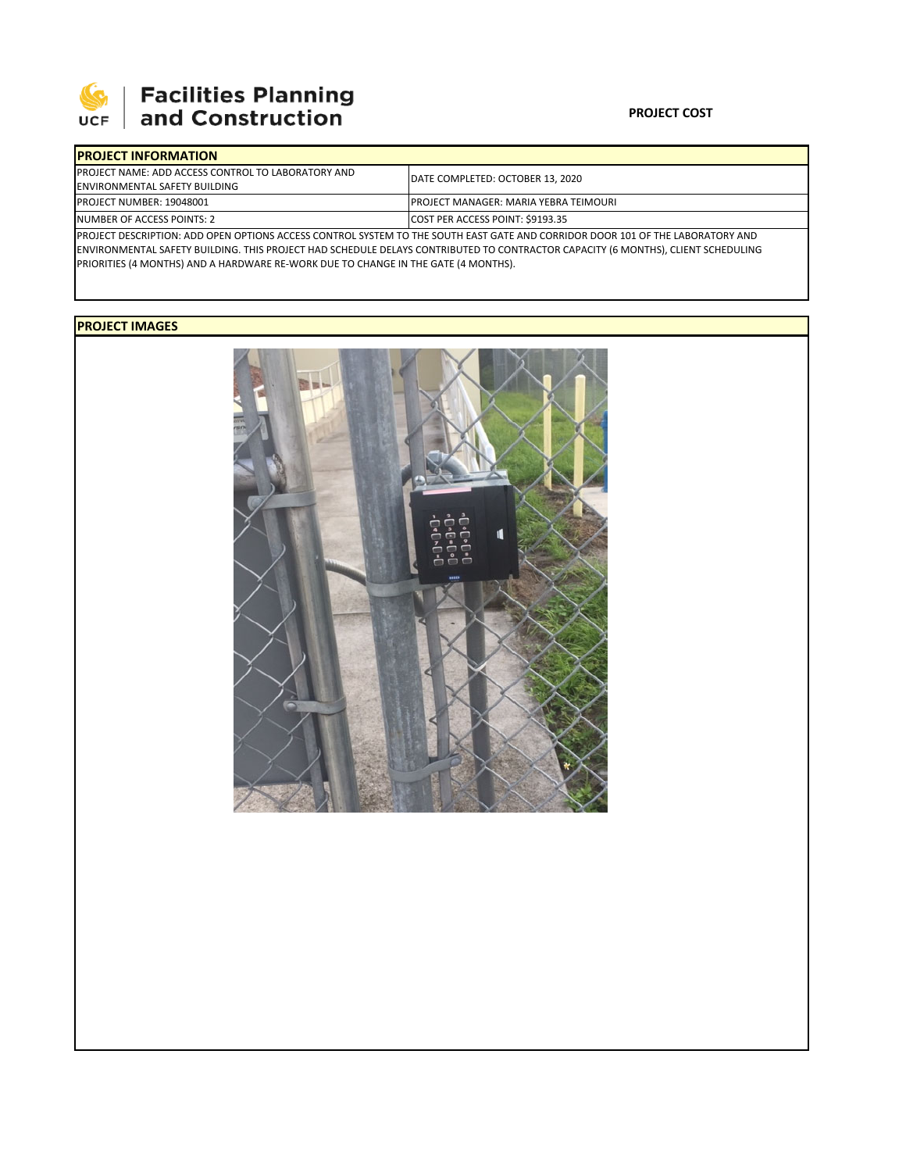

# **SEPTE SECUTE SECULIES Planning**<br>UCF and Construction

### **PROJECT COST**

| <b>IPROJECT INFORMATION</b>                                                                                                    |                                              |  |  |  |
|--------------------------------------------------------------------------------------------------------------------------------|----------------------------------------------|--|--|--|
| <b>IPROJECT NAME: ADD ACCESS CONTROL TO LABORATORY AND</b>                                                                     | IDATE COMPLETED: OCTOBER 13. 2020            |  |  |  |
| <b>ENVIRONMENTAL SAFETY BUILDING</b>                                                                                           |                                              |  |  |  |
| <b>PROJECT NUMBER: 19048001</b>                                                                                                | <b>PROJECT MANAGER: MARIA YEBRA TEIMOURI</b> |  |  |  |
| NUMBER OF ACCESS POINTS: 2                                                                                                     | COST PER ACCESS POINT: \$9193.35             |  |  |  |
| PROJECT DESCRIPTION: ADD OPEN OPTIONS ACCESS CONTROL SYSTEM TO THE SOUTH EAST GATE AND CORRIDOR DOOR 101 OF THE LABORATORY AND |                                              |  |  |  |

ENVIRONMENTAL SAFETY BUILDING. THIS PROJECT HAD SCHEDULE DELAYS CONTRIBUTED TO CONTRACTOR CAPACITY (6 MONTHS), CLIENT SCHEDULING PRIORITIES (4 MONTHS) AND A HARDWARE RE‐WORK DUE TO CHANGE IN THE GATE (4 MONTHS).

## **PROJECT IMAGES**